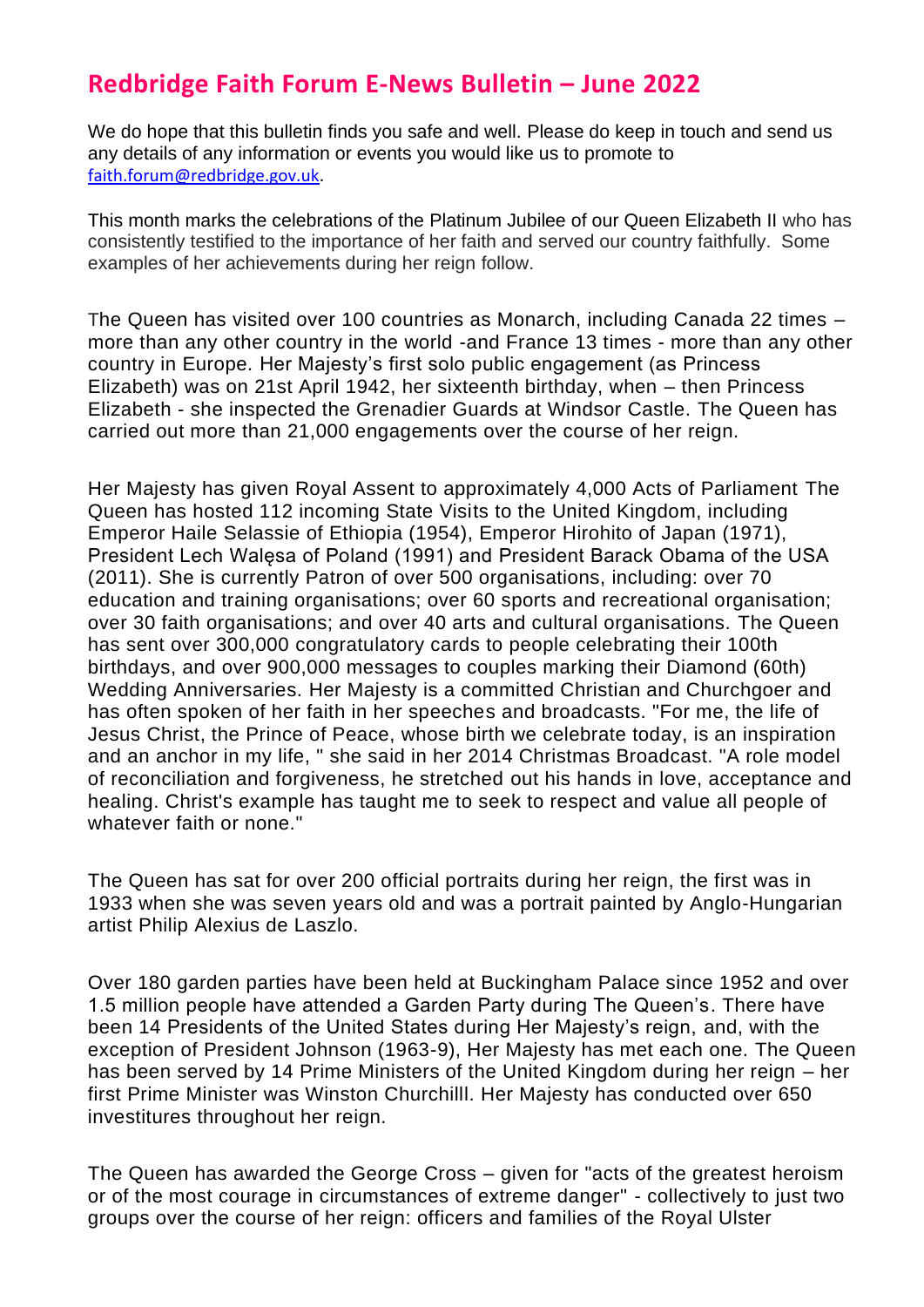## **Redbridge Faith Forum E-News Bulletin – June 2022**

We do hope that this bulletin finds you safe and well. Please do keep in touch and send us any details of any information or events you would like us to promote to [faith.forum@redbridge.gov.uk.](file://///AD.REDBRIDGE.GOV.UK/str/STRShare/FaithForum/RFF/RFF%20Projects%202021-22/E%20News%20Bulletins/faith.forum@redbridge.gov.uk)

This month marks the celebrations of the Platinum Jubilee of our Queen Elizabeth II who has consistently testified to the importance of her faith and served our country faithfully. Some examples of her achievements during her reign follow.

The Queen has visited over 100 countries as Monarch, including Canada 22 times – more than any other country in the world -and France 13 times - more than any other country in Europe. Her Majesty's first solo public engagement (as Princess Elizabeth) was on 21st April 1942, her sixteenth birthday, when – then Princess Elizabeth - she inspected the Grenadier Guards at Windsor Castle. The Queen has carried out more than 21,000 engagements over the course of her reign.

Her Majesty has given Royal Assent to approximately 4,000 Acts of Parliament The Queen has hosted 112 incoming State Visits to the United Kingdom, including Emperor Haile Selassie of Ethiopia (1954), Emperor Hirohito of Japan (1971), President Lech Walęsa of Poland (1991) and President Barack Obama of the USA (2011). She is currently Patron of over 500 organisations, including: over 70 education and training organisations; over 60 sports and recreational organisation; over 30 faith organisations; and over 40 arts and cultural organisations. The Queen has sent over 300,000 congratulatory cards to people celebrating their 100th birthdays, and over 900,000 messages to couples marking their Diamond (60th) Wedding Anniversaries. Her Majesty is a committed Christian and Churchgoer and has often spoken of her faith in her speeches and broadcasts. "For me, the life of Jesus Christ, the Prince of Peace, whose birth we celebrate today, is an inspiration and an anchor in my life, " she said in her 2014 Christmas Broadcast. "A role model of reconciliation and forgiveness, he stretched out his hands in love, acceptance and healing. Christ's example has taught me to seek to respect and value all people of whatever faith or none."

The Queen has sat for over 200 official portraits during her reign, the first was in 1933 when she was seven years old and was a portrait painted by Anglo-Hungarian artist Philip Alexius de Laszlo.

Over 180 garden parties have been held at Buckingham Palace since 1952 and over 1.5 million people have attended a Garden Party during The Queen's. There have been 14 Presidents of the United States during Her Majesty's reign, and, with the exception of President Johnson (1963-9), Her Majesty has met each one. The Queen has been served by 14 Prime Ministers of the United Kingdom during her reign – her first Prime Minister was Winston Churchilll. Her Majesty has conducted over 650 investitures throughout her reign.

The Queen has awarded the George Cross – given for "acts of the greatest heroism or of the most courage in circumstances of extreme danger" - collectively to just two groups over the course of her reign: officers and families of the Royal Ulster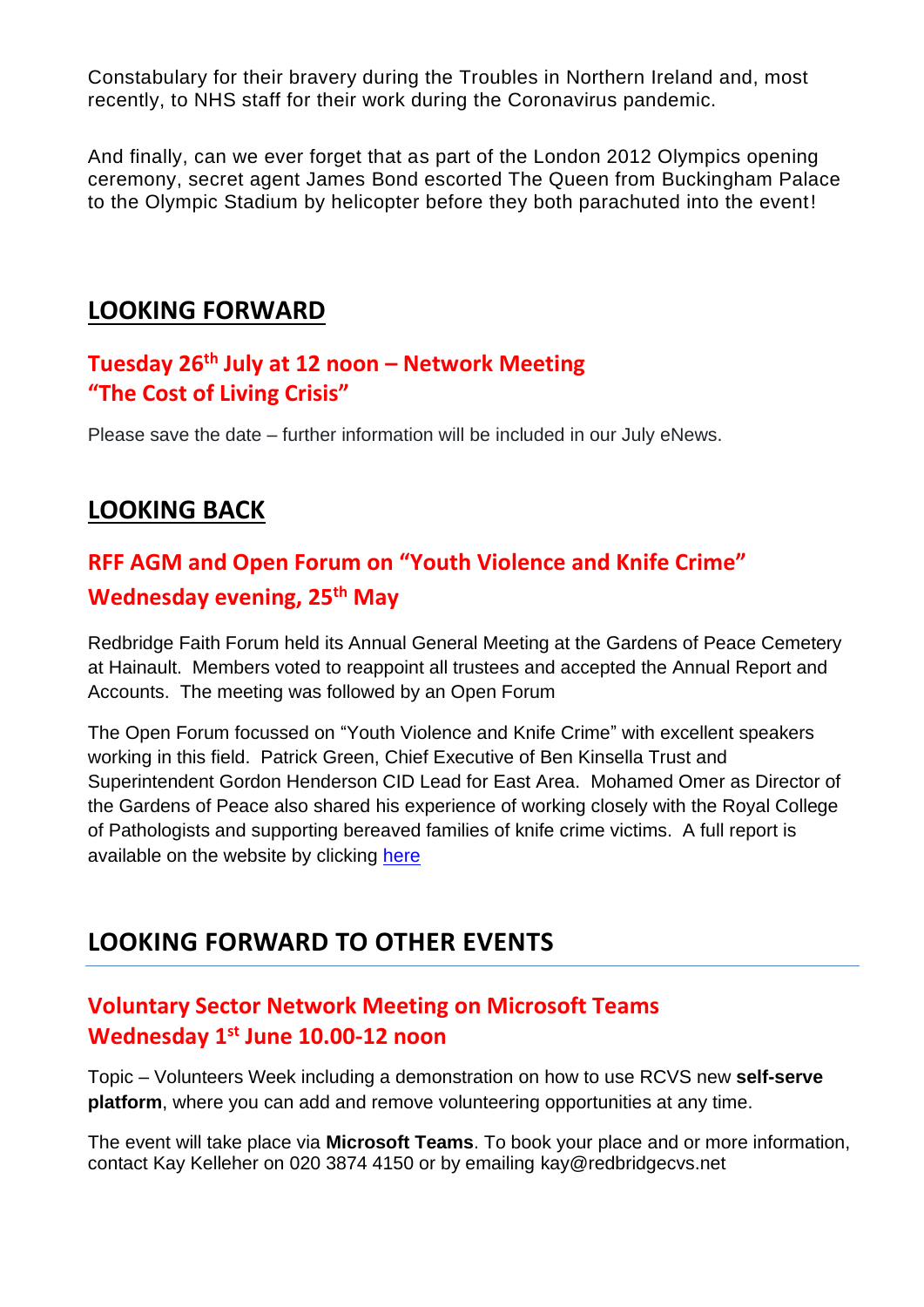Constabulary for their bravery during the Troubles in Northern Ireland and, most recently, to NHS staff for their work during the Coronavirus pandemic.

And finally, can we ever forget that as part of the London 2012 Olympics opening ceremony, secret agent James Bond escorted The Queen from Buckingham Palace to the Olympic Stadium by helicopter before they both parachuted into the event!

## **LOOKING FORWARD**

## **Tuesday 26th July at 12 noon – Network Meeting "The Cost of Living Crisis"**

Please save the date – further information will be included in our July eNews.

## **LOOKING BACK**

# **RFF AGM and Open Forum on "Youth Violence and Knife Crime" Wednesday evening, 25th May**

Redbridge Faith Forum held its Annual General Meeting at the Gardens of Peace Cemetery at Hainault. Members voted to reappoint all trustees and accepted the Annual Report and Accounts. The meeting was followed by an Open Forum

The Open Forum focussed on "Youth Violence and Knife Crime" with excellent speakers working in this field. Patrick Green, Chief Executive of Ben Kinsella Trust and Superintendent Gordon Henderson CID Lead for East Area. Mohamed Omer as Director of the Gardens of Peace also shared his experience of working closely with the Royal College of Pathologists and supporting bereaved families of knife crime victims. A full report is available on the website by clicking [here](https://redbridgefaithforum.org/public-forum-youth-violence-and-knife-crime-25th-may-2022/)

## **LOOKING FORWARD TO OTHER EVENTS**

### **Voluntary Sector Network Meeting on Microsoft Teams Wednesday 1st June 10.00-12 noon**

Topic – Volunteers Week including a demonstration on how to use RCVS new **self-serve platform**, where you can add and remove volunteering opportunities at any time.

The event will take place via **Microsoft Teams**. To book your place and or more information, contact Kay Kelleher on 020 3874 4150 or by emailing [kay@redbridgecvs.net](mailto:kay@redbridgecvs.net)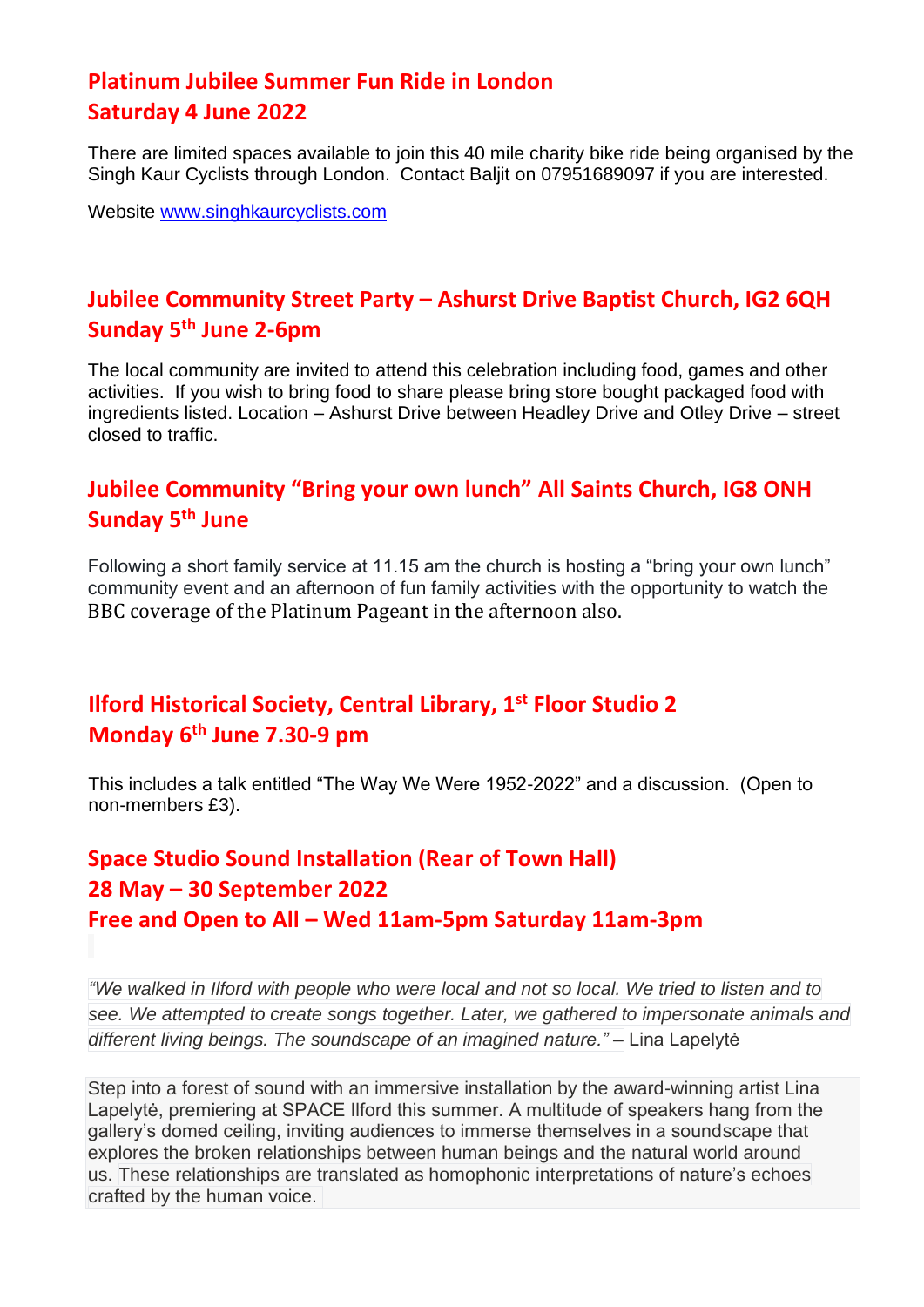### **Platinum Jubilee Summer Fun Ride in London Saturday 4 June 2022**

There are limited spaces available to join this 40 mile charity bike ride being organised by the Singh Kaur Cyclists through London. Contact Baljit on 07951689097 if you are interested.

Website [www.singhkaurcyclists.com](http://www.singhkaurcyclists.com/)

## **Jubilee Community Street Party – Ashurst Drive Baptist Church, IG2 6QH Sunday 5th June 2-6pm**

The local community are invited to attend this celebration including food, games and other activities. If you wish to bring food to share please bring store bought packaged food with ingredients listed. Location – Ashurst Drive between Headley Drive and Otley Drive – street closed to traffic.

### **Jubilee Community "Bring your own lunch" All Saints Church, IG8 ONH Sunday 5th June**

Following a short family service at 11.15 am the church is hosting a "bring your own lunch" community event and an afternoon of fun family activities with the opportunity to watch the BBC coverage of the Platinum Pageant in the afternoon also.

## **Ilford Historical Society, Central Library, 1st Floor Studio 2 Monday 6th June 7.30-9 pm**

This includes a talk entitled "The Way We Were 1952-2022" and a discussion. (Open to non-members £3).

## **Space Studio Sound Installation (Rear of Town Hall) 28 May – 30 September 2022 Free and Open to All – Wed 11am-5pm Saturday 11am-3pm**

*"We walked in Ilford with people who were local and not so local. We tried to listen and to see. We attempted to create songs together. Later, we gathered to impersonate animals and different living beings. The soundscape of an imagined nature." –* Lina Lapelytė

Step into a forest of sound with an immersive installation by the award-winning artist Lina Lapelytė, premiering at SPACE Ilford this summer. A multitude of speakers hang from the gallery's domed ceiling, inviting audiences to immerse themselves in a soundscape that explores the broken relationships between human beings and the natural world around us. These relationships are translated as homophonic interpretations of nature's echoes crafted by the human voice.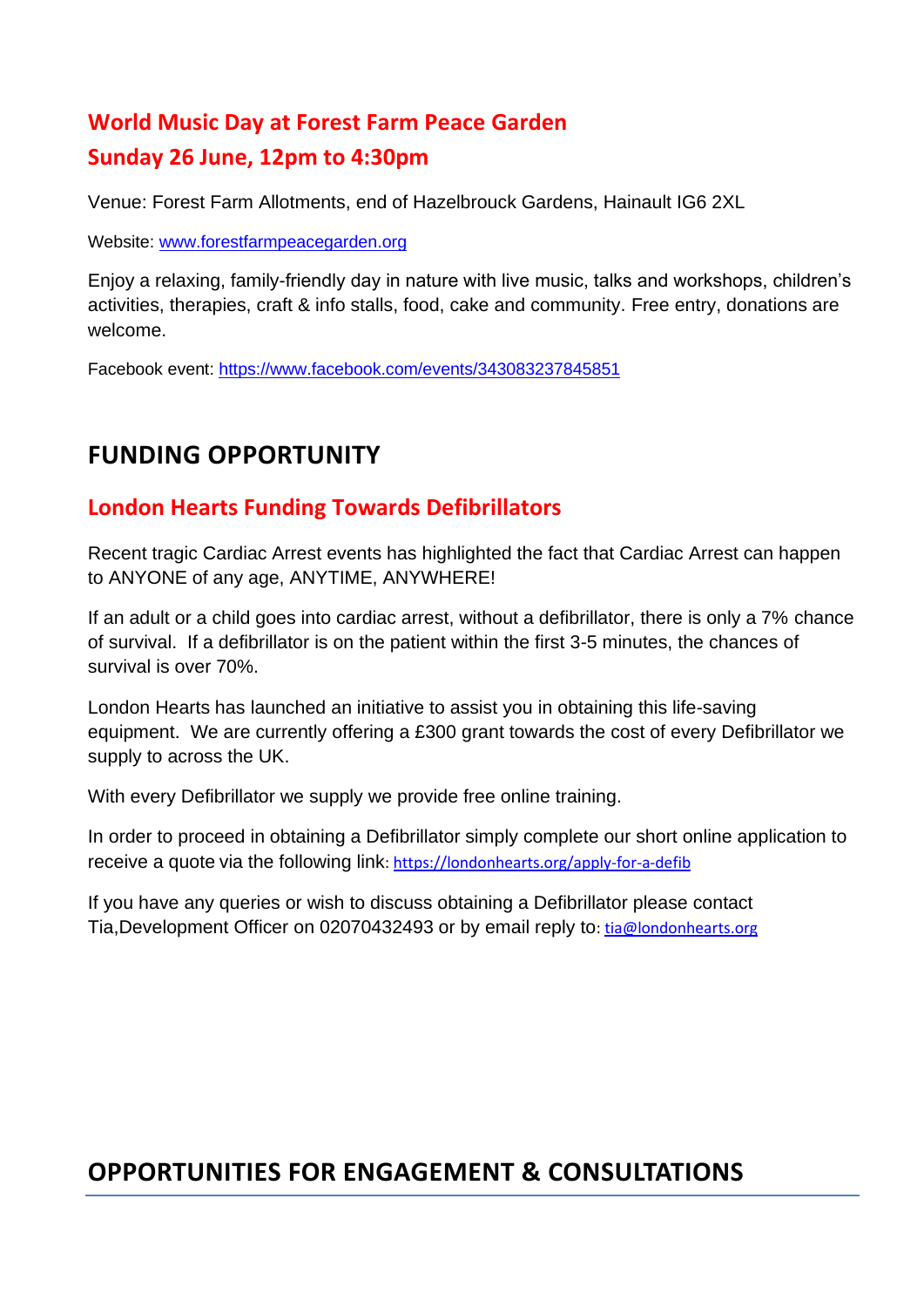# **World Music Day at Forest Farm Peace Garden Sunday 26 June, 12pm to 4:30pm**

Venue: Forest Farm Allotments, end of Hazelbrouck Gardens, Hainault IG6 2XL

Website: [www.forestfarmpeacegarden.org](https://protect-eu.mimecast.com/s/HE5XCz72ZHmQE8NhBNB43?domain=forestfarmpeacegarden.org)

Enjoy a relaxing, family-friendly day in nature with live music, talks and workshops, children's activities, therapies, craft & info stalls, food, cake and community. Free entry, donations are welcome.

Facebook event: [https://www.facebook.com/events/343083237845851](https://protect-eu.mimecast.com/s/o0VuCrmQOCDP7w3Szgrla?domain=facebook.com)

## **FUNDING OPPORTUNITY**

### **London Hearts Funding Towards Defibrillators**

Recent tragic Cardiac Arrest events has highlighted the fact that Cardiac Arrest can happen to ANYONE of any age, ANYTIME, ANYWHERE!

If an adult or a child goes into cardiac arrest, without a defibrillator, there is only a 7% chance of survival. If a defibrillator is on the patient within the first 3-5 minutes, the chances of survival is over 70%.

London Hearts has launched an initiative to assist you in obtaining this life-saving equipment. We are currently offering a £300 grant towards the cost of every Defibrillator we supply to across the UK.

With every Defibrillator we supply we provide free online training.

In order to proceed in obtaining a Defibrillator simply complete our short online application to receive a quote via the following link: [https://londonhearts.org/apply-for-a-defib](https://protect-eu.mimecast.com/s/vFTyCwKYWiR1ZkOhVEc8c?domain=londonhearts.org)

If you have any queries or wish to discuss obtaining a Defibrillator please contact Tia,Development Officer on 02070432493 or by email reply to[: tia@londonhearts.org](mailto:tia@londonhearts.org)

## **OPPORTUNITIES FOR ENGAGEMENT & CONSULTATIONS**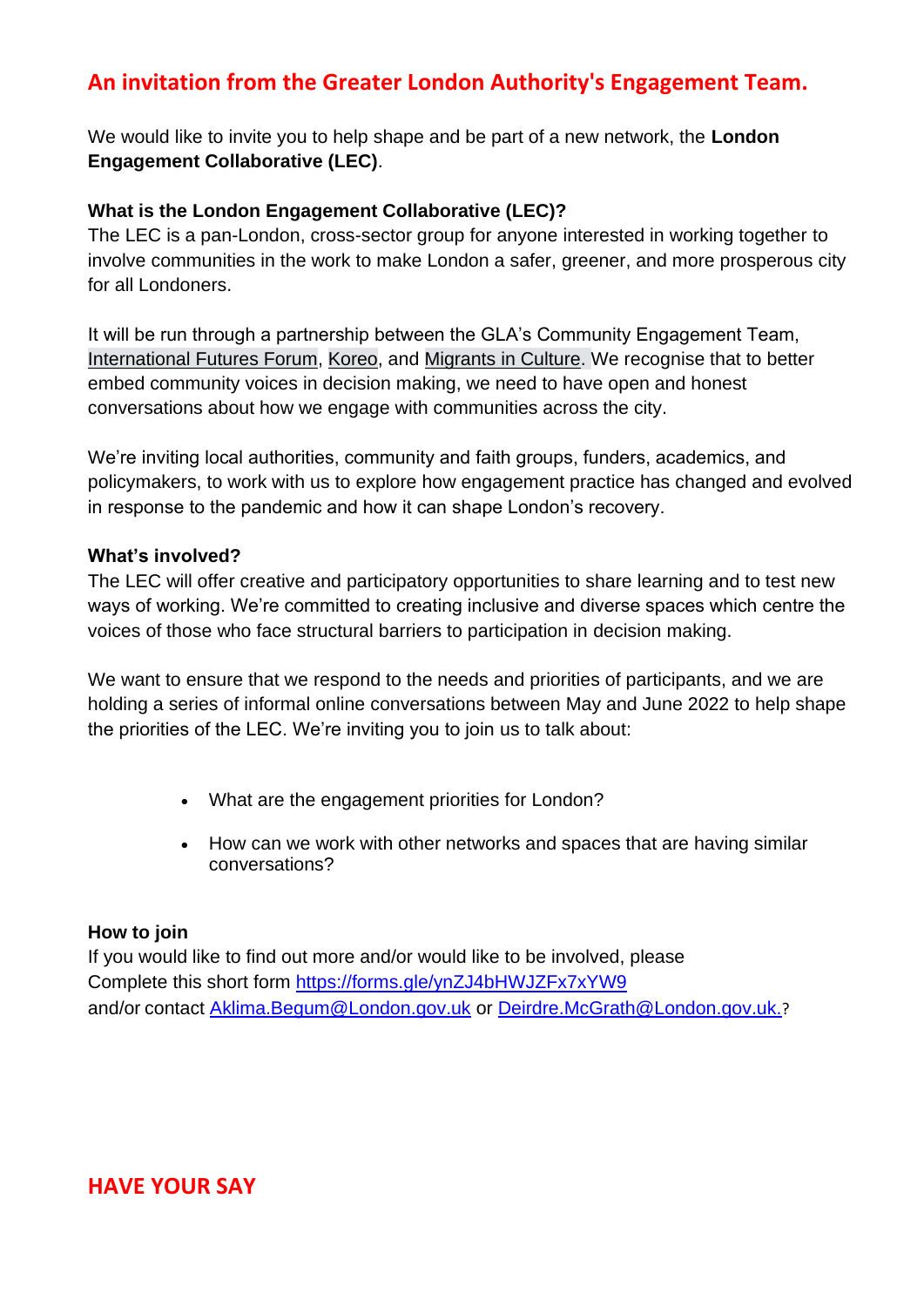## **An invitation from the Greater London Authority's Engagement Team.**

We would like to invite you to help shape and be part of a new network, the **London Engagement Collaborative (LEC)**.

#### **What is the London Engagement Collaborative (LEC)?**

The LEC is a pan-London, cross-sector group for anyone interested in working together to involve communities in the work to make London a safer, greener, and more prosperous city for all Londoners.

It will be run through a partnership between the GLA's Community Engagement Team, [International Futures Forum,](https://protect-eu.mimecast.com/s/c2XxCpkOMhxJORkhD3tuX?domain=internationalfuturesforum.com) [Koreo,](https://protect-eu.mimecast.com/s/knlSCqlPNF7xkMBUQQ2Zo?domain=koreo.co) and [Migrants in Culture.](https://protect-eu.mimecast.com/s/H-w1CrmQOCDznBMiypK3_?domain=migrantsinculture.com) We recognise that to better embed community voices in decision making, we need to have open and honest conversations about how we engage with communities across the city.

We're inviting local authorities, community and faith groups, funders, academics, and policymakers, to work with us to explore how engagement practice has changed and evolved in response to the pandemic and how it can shape London's recovery.

#### **What's involved?**

The LEC will offer creative and participatory opportunities to share learning and to test new ways of working. We're committed to creating inclusive and diverse spaces which centre the voices of those who face structural barriers to participation in decision making.

We want to ensure that we respond to the needs and priorities of participants, and we are holding a series of informal online conversations between May and June 2022 to help shape the priorities of the LEC. We're inviting you to join us to talk about:

- What are the engagement priorities for London?
- How can we work with other networks and spaces that are having similar conversations?

#### **How to join**

If you would like to find out more and/or would like to be involved, please Complete this short form [https://forms.gle/ynZJ4bHWJZFx7xYW9](https://protect-eu.mimecast.com/s/Bs36CojNLFK1Py9i1jBRd?domain=forms.gle) and/or contact [Aklima.Begum@London.gov.uk](mailto:Aklima.Begum@London.gov.uk) or [Deirdre.McGrath@London.gov.uk.](mailto:Deirdre.McGrath@London.gov.uk)?

#### **HAVE YOUR SAY**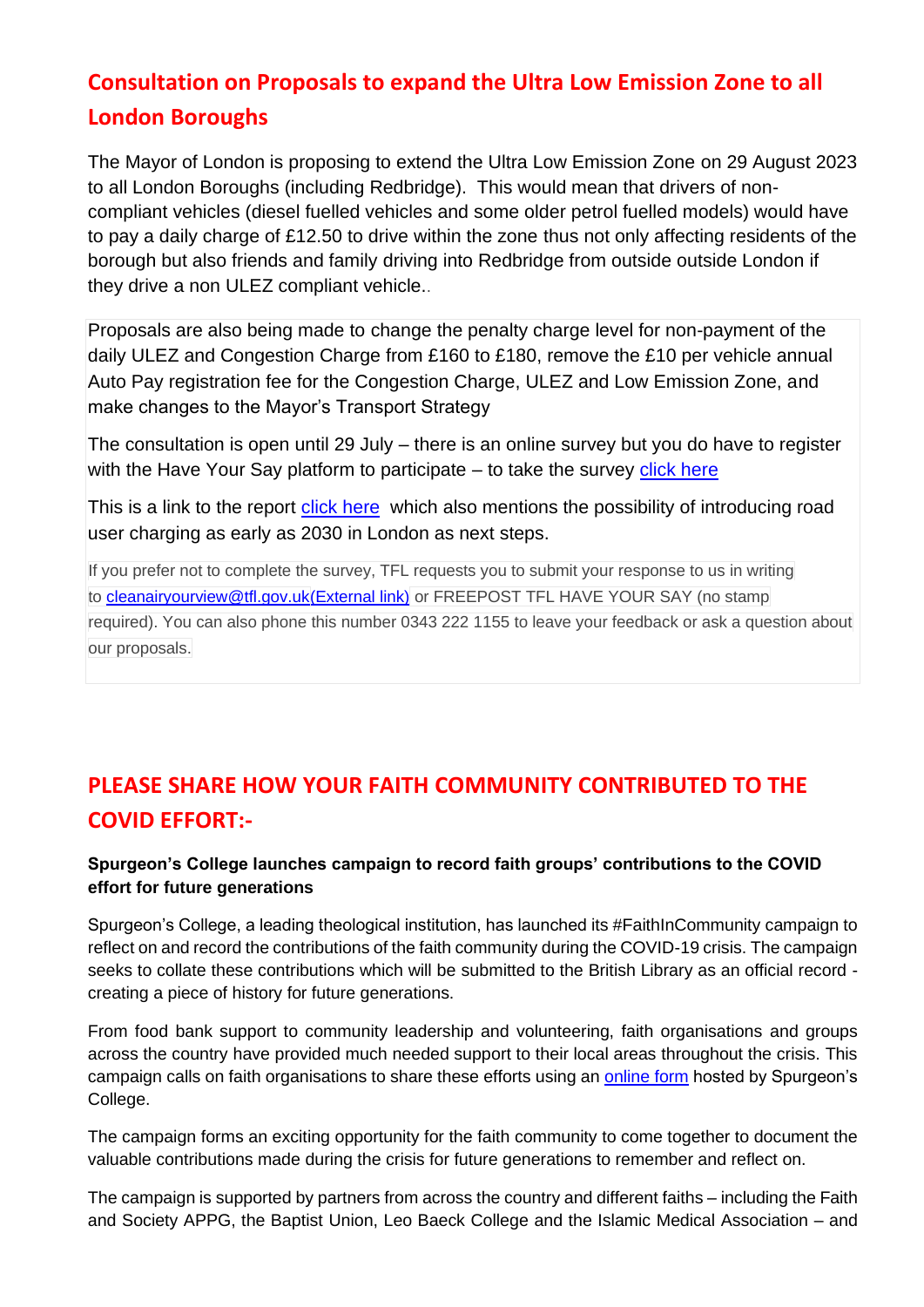# **Consultation on Proposals to expand the Ultra Low Emission Zone to all London Boroughs**

The Mayor of London is proposing to extend the Ultra Low Emission Zone on 29 August 2023 to all London Boroughs (including Redbridge). This would mean that drivers of noncompliant vehicles (diesel fuelled vehicles and some older petrol fuelled models) would have to pay a daily charge of £12.50 to drive within the zone thus not only affecting residents of the borough but also friends and family driving into Redbridge from outside outside London if they drive a non ULEZ compliant vehicle..

Proposals are also being made to change the penalty charge level for non-payment of the daily ULEZ and Congestion Charge from £160 to £180, remove the £10 per vehicle annual Auto Pay registration fee for the Congestion Charge, ULEZ and Low Emission Zone, and make changes to the Mayor's Transport Strategy

The consultation is open until 29 July – there is an online survey but you do have to register with the Have Your Say platform to participate  $-$  to take the survey [click here](https://haveyoursay.tfl.gov.uk/cleanair/survey_tools/cleanair-survey)

This is a link to the report [click here](https://ehq-production-europe.s3.eu-west-1.amazonaws.com/39bc28e1df271326c400b28ec7622683a9582672/original/1652957227/eaa52618f8dad9eef453e6e5ea5d3be5_Our_proposals_to_help_improve_air_quality_tackle_the_climate_emergency_and_reduce_congestion_by_expanding_the_ULEZ_London-wide_and_other_measures.pdf?X-Amz-Algorithm=AWS4-HMAC-SHA256&X-Amz-Credential=AKIAIBJCUKKD4ZO4WUUA%2F20220525%2Feu-west-1%2Fs3%2Faws4_request&X-Amz-Date=20220525T093221Z&X-Amz-Expires=300&X-Amz-SignedHeaders=host&X-Amz-Signature=3a7e768fa6e2017040e4a0ed8f44fa77add816c2e419b5c8174122422b62f083) which also mentions the possibility of introducing road user charging as early as 2030 in London as next steps.

If you prefer not to complete the survey, TFL requests you to submit your response to us in writing to [cleanairyourview@tfl.gov.uk\(External](mailto:cleanairyourview@tfl.gov.uk) [link\)](mailto:cleanairyourview@tfl.gov.uk) or FREEPOST TFL HAVE YOUR SAY (no stamp required). You can also phone this number 0343 222 1155 to leave your feedback or ask a question about our proposals.

# **PLEASE SHARE HOW YOUR FAITH COMMUNITY CONTRIBUTED TO THE COVID EFFORT:-**

#### **Spurgeon's College launches campaign to record faith groups' contributions to the COVID effort for future generations**

Spurgeon's College, a leading theological institution, has launched its #FaithInCommunity campaign to reflect on and record the contributions of the faith community during the COVID-19 crisis. The campaign seeks to collate these contributions which will be submitted to the British Library as an official record creating a piece of history for future generations.

From food bank support to community leadership and volunteering, faith organisations and groups across the country have provided much needed support to their local areas throughout the crisis. This campaign calls on faith organisations to share these efforts using an [online form](https://faithincommunity.org.uk/faithincommunity-record/) hosted by Spurgeon's College.

The campaign forms an exciting opportunity for the faith community to come together to document the valuable contributions made during the crisis for future generations to remember and reflect on.

The campaign is supported by partners from across the country and different faiths – including the Faith and Society APPG, the Baptist Union, Leo Baeck College and the Islamic Medical Association – and